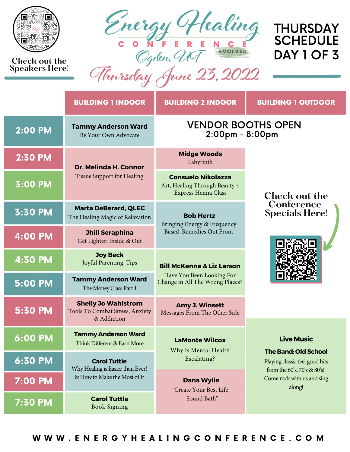

## **Check out the Speakers Here!**



## THURSDAY **SCHEDULE** DAY 1 OF 3

## **Thursday June 23, 2022**

|                      | <b>BUILDING 1 INDOOR</b>                                                     | <b>BUILDING 2 INDOOR</b>                                                          | <b>BUILDING 1 OUTDOOR</b>                                                                                                            |  |
|----------------------|------------------------------------------------------------------------------|-----------------------------------------------------------------------------------|--------------------------------------------------------------------------------------------------------------------------------------|--|
| $2:00$ PM            | <b>Tammy Anderson Ward</b><br>Be Your Own Advocate                           | <b>VENDOR BOOTHS OPEN</b><br>2:00pm - 8:00pm                                      |                                                                                                                                      |  |
| 2:30 PM              | Dr. Melinda H. Connor                                                        | <b>Midge Woods</b><br>Labyrinth                                                   | Check out the                                                                                                                        |  |
| <b>3:00 PM</b>       | <b>Tissue Support for Healing</b>                                            | <b>Consuelo Nikolazza</b><br>Art, Healing Through Beauty +<br>Express Henna Class |                                                                                                                                      |  |
| 3:30 PM              | <b>Marta DeBerard, QLEC</b><br>The Healing Magic of Relaxation               | <b>Bob Hertz</b><br>Bringing Energy & Frequency                                   | Conference<br><b>Specials Here!</b>                                                                                                  |  |
| $\overline{4:}00$ PM | <b>Jhill Seraphina</b><br>Get Lighter: Inside & Out                          | <b>Based Remedies Out Front</b>                                                   |                                                                                                                                      |  |
| <b>4:30 PM</b>       | <b>Joy Beck</b><br>Joyful Parenting Tips                                     | <b>Bill McKenna &amp; Liz Larson</b>                                              |                                                                                                                                      |  |
| 5:00 PM              | <b>Tammy Anderson Ward</b><br>The Money Class Part 1                         | Have You Been Looking For<br>Change in All The Wrong Places?                      |                                                                                                                                      |  |
| 5:30 PM              | <b>Shelly Jo Wahlstrom</b><br>Tools To Combat Stress, Anxiety<br>& Addiction | <b>Amy J. Winsett</b><br>Messages From The Other Side                             |                                                                                                                                      |  |
| 6:00 PM              | <b>Tammy Anderson Ward</b><br>Think Different & Earn More                    | <b>LaMonte Wilcox</b><br>Why is Mental Health                                     | <b>Live Music</b>                                                                                                                    |  |
| 6:30 PM              | <b>Carol Tuttle</b><br>Why Healing is Easier than Ever!                      | Escalating?                                                                       | <b>The Band: Old School</b><br>Playing classic feel good hits<br>from the 60's, 70's & 80's!<br>Come rock with us and sing<br>along! |  |
| 7:00 PM              | & How to Make the Most of It                                                 | <b>Dana Wylie</b><br>Create Your Best Life                                        |                                                                                                                                      |  |
| 7:30 PM              | <b>Carol Tuttle</b><br><b>Book Signing</b>                                   | "Sound Bath"                                                                      |                                                                                                                                      |  |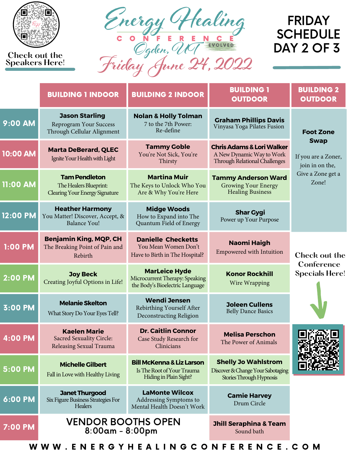

**Check out the Speakers Here!**



## FRIDAY **SCHEDULE** DAY 2 OF 3

|            | <b>BUILDING 1 INDOOR</b>                                                                | <b>BUILDING 2 INDOOR</b>                                                                     | <b>BUILDING 1</b><br><b>OUTDOOR</b>                                                                               | <b>BUILDING 2</b><br><b>OUTDOOR</b>                   |
|------------|-----------------------------------------------------------------------------------------|----------------------------------------------------------------------------------------------|-------------------------------------------------------------------------------------------------------------------|-------------------------------------------------------|
| 9:00 AM    | <b>Jason Starling</b><br>Reprogram Your Success<br>Through Cellular Alignment           | <b>Nolan &amp; Holly Tolman</b><br>7 to the 7th Power:<br>Re-define                          | <b>Graham Phillips Davis</b><br>Vinyasa Yoga Pilates Fusion                                                       | <b>Foot Zone</b>                                      |
| 10:00 AM   | <b>Marta DeBerard, QLEC</b><br>Ignite Your Health with Light                            | <b>Tammy Goble</b><br>You're Not Sick, You're<br>Thirsty                                     | <b>Chris Adams &amp; Lori Walker</b><br>A New Dynamic Way to Work<br><b>Through Relational Challenges</b>         | <b>Swap</b><br>If you are a Zoner,<br>join in on the, |
| $11:00$ AM | <b>Tam Pendleton</b><br>The Healers Blueprint:<br><b>Clearing Your Energy Signature</b> | <b>Martina Muir</b><br>The Keys to Unlock Who You<br>Are & Why You're Here                   | Give a Zone get a<br><b>Tammy Anderson Ward</b><br>Zone!<br><b>Growing Your Energy</b><br><b>Healing Business</b> |                                                       |
| 12:00 PM   | <b>Heather Harmony</b><br>You Matter! Discover, Accept, &<br><b>Balance You!</b>        | <b>Midge Woods</b><br>How to Expand into The<br>Quantum Field of Energy                      | <b>Shar Gygi</b><br>Power up Your Purpose                                                                         |                                                       |
| 1:00 PM    | <b>Benjamin King, MQP, CH</b><br>The Breaking Point of Pain and<br>Rebirth              | <b>Danielle Checketts</b><br>You Mean Women Don't<br>Have to Birth in The Hospital?          | <b>Naomi Haigh</b><br><b>Empowered with Intuition</b>                                                             | Check out the                                         |
| 2:00 PM    | <b>Joy Beck</b><br>Creating Joyful Options in Life!                                     | <b>MarLeice Hyde</b><br>Microcurrent Therapy: Speaking<br>the Body's Bioelectric Language    | <b>Konor Rockhill</b><br>Wire Wrapping                                                                            | Conference<br><b>Specials Here!</b>                   |
| 3:00 PM    | <b>Melanie Skelton</b><br>What Story Do Your Eyes Tell?                                 | <b>Wendi Jensen</b><br>Rebirthing Yourself After<br>Deconstructing Religion                  | <b>Joleen Cullens</b><br><b>Belly Dance Basics</b>                                                                |                                                       |
| 4:00 PM    | <b>Kaelen Marie</b><br><b>Sacred Sexuality Circle:</b><br>Releasing Sexual Trauma       | <b>Dr. Caitlin Connor</b><br>Case Study Research for<br>Clinicians                           | <b>Melisa Perschon</b><br>The Power of Animals                                                                    | 向必公公同                                                 |
| 5:00 PM    | <b>Michelle Gilbert</b><br>Fall in Love with Healthy Living                             | <b>Bill McKenna &amp; Liz Larson</b><br>Is The Root of Your Trauma<br>Hiding in Plain Sight? | <b>Shelly Jo Wahlstrom</b><br>Discover & Change Your Sabotaging<br>Stories Through Hypnosis                       |                                                       |
| 6:00 PM    | <b>Janet Thurgood</b><br>Six Figure Business Strategies For<br><b>Healers</b>           | <b>LaMonte Wilcox</b><br>Addressing Symptoms to<br>Mental Health Doesn't Work                | <b>Camie Harvey</b><br>Drum Circle                                                                                |                                                       |
| 7:00 PM    | <b>VENDOR BOOTHS OPEN</b><br>$8:00$ am - $8:00$ pm                                      |                                                                                              | <b>Jhill Seraphina &amp; Team</b><br>Sound bath                                                                   |                                                       |

W W W . E N E R G Y H E A L I N G C O N F E R E N C E . C O M